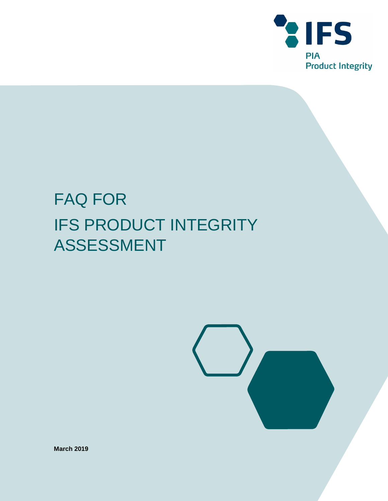

# FAQ FOR IFS PRODUCT INTEGRITY ASSESSMENT



**March 2019**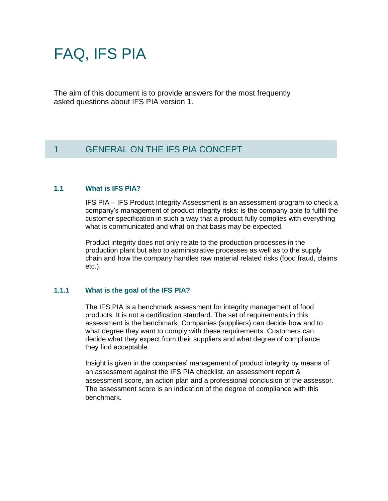# FAQ, IFS PIA

The aim of this document is to provide answers for the most frequently asked questions about IFS PIA version 1.

# 1 GENERAL ON THE IFS PIA CONCEPT

## **1.1 What is IFS PIA?**

IFS PIA – IFS Product Integrity Assessment is an assessment program to check a company's management of product integrity risks: is the company able to fulfill the customer specification in such a way that a product fully complies with everything what is communicated and what on that basis may be expected.

Product integrity does not only relate to the production processes in the production plant but also to administrative processes as well as to the supply chain and how the company handles raw material related risks (food fraud, claims etc.).

## **1.1.1 What is the goal of the IFS PIA?**

The IFS PIA is a benchmark assessment for integrity management of food products. It is not a certification standard. The set of requirements in this assessment is the benchmark. Companies (suppliers) can decide how and to what degree they want to comply with these requirements. Customers can decide what they expect from their suppliers and what degree of compliance they find acceptable.

Insight is given in the companies' management of product integrity by means of an assessment against the IFS PIA checklist, an assessment report & assessment score, an action plan and a professional conclusion of the assessor. The assessment score is an indication of the degree of compliance with this benchmark.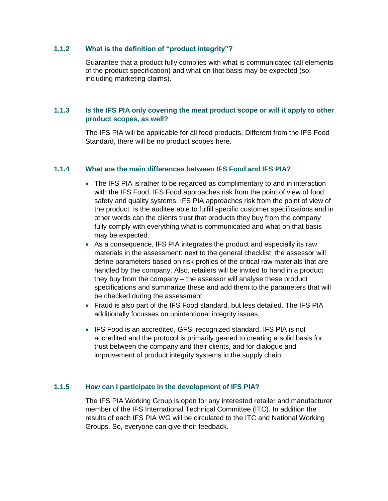## **1.1.2 What is the definition of "product integrity"?**

Guarantee that a product fully complies with what is communicated (all elements of the product specification) and what on that basis may be expected (so: including marketing claims).

## **1.1.3 Is the IFS PIA only covering the meat product scope or will it apply to other product scopes, as well?**

The IFS PIA will be applicable for all food products. Different from the IFS Food Standard, there will be no product scopes here.

## **1.1.4 What are the main differences between IFS Food and IFS PIA?**

- The IFS PIA is rather to be regarded as complimentary to and in interaction with the IFS Food. IFS Food approaches risk from the point of view of food safety and quality systems. IFS PIA approaches risk from the point of view of the product: is the auditee able to fulfill specific customer specifications and in other words can the clients trust that products they buy from the company fully comply with everything what is communicated and what on that basis may be expected.
- As a consequence, IFS PIA integrates the product and especially its raw materials in the assessment: next to the general checklist, the assessor will define parameters based on risk profiles of the critical raw materials that are handled by the company. Also, retailers will be invited to hand in a product they buy from the company – the assessor will analyse these product specifications and summarize these and add them to the parameters that will be checked during the assessment.
- Fraud is also part of the IFS Food standard, but less detailed. The IFS PIA additionally focusses on unintentional integrity issues.
- IFS Food is an accredited, GFSI recognized standard. IFS PIA is not accredited and the protocol is primarily geared to creating a solid basis for trust between the company and their clients, and for dialogue and improvement of product integrity systems in the supply chain.

## **1.1.5 How can I participate in the development of IFS PIA?**

The IFS PIA Working Group is open for any interested retailer and manufacturer member of the IFS International Technical Committee (ITC). In addition the results of each IFS PIA WG will be circulated to the ITC and National Working Groups. So, everyone can give their feedback.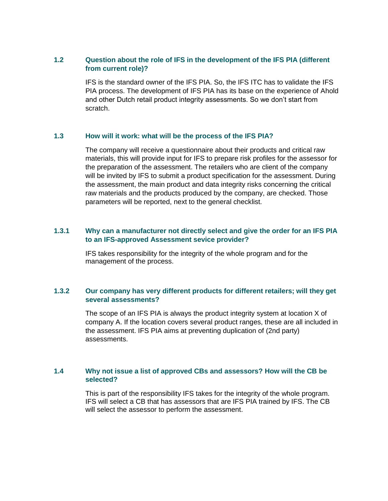## **1.2 Question about the role of IFS in the development of the IFS PIA (different from current role)?**

IFS is the standard owner of the IFS PIA. So, the IFS ITC has to validate the IFS PIA process. The development of IFS PIA has its base on the experience of Ahold and other Dutch retail product integrity assessments. So we don't start from scratch.

#### **1.3 How will it work: what will be the process of the IFS PIA?**

The company will receive a questionnaire about their products and critical raw materials, this will provide input for IFS to prepare risk profiles for the assessor for the preparation of the assessment. The retailers who are client of the company will be invited by IFS to submit a product specification for the assessment. During the assessment, the main product and data integrity risks concerning the critical raw materials and the products produced by the company, are checked. Those parameters will be reported, next to the general checklist.

## **1.3.1 Why can a manufacturer not directly select and give the order for an IFS PIA to an IFS-approved Assessment sevice provider?**

IFS takes responsibility for the integrity of the whole program and for the management of the process.

## **1.3.2 Our company has very different products for different retailers; will they get several assessments?**

The scope of an IFS PIA is always the product integrity system at location X of company A. If the location covers several product ranges, these are all included in the assessment. IFS PIA aims at preventing duplication of (2nd party) assessments.

## **1.4 Why not issue a list of approved CBs and assessors? How will the CB be selected?**

This is part of the responsibility IFS takes for the integrity of the whole program. IFS will select a CB that has assessors that are IFS PIA trained by IFS. The CB will select the assessor to perform the assessment.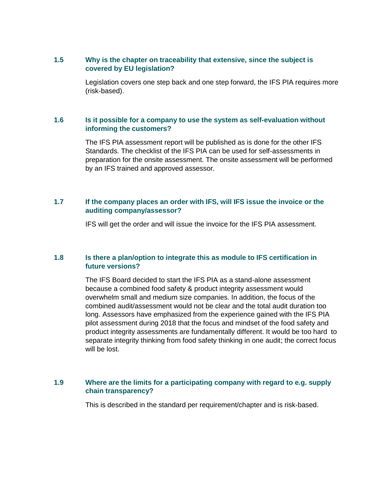## **1.5 Why is the chapter on traceability that extensive, since the subject is covered by EU legislation?**

Legislation covers one step back and one step forward, the IFS PIA requires more (risk-based).

## **1.6 Is it possible for a company to use the system as self-evaluation without informing the customers?**

The IFS PIA assessment report will be published as is done for the other IFS Standards. The checklist of the IFS PIA can be used for self-assessments in preparation for the onsite assessment. The onsite assessment will be performed by an IFS trained and approved assessor.

## **1.7 If the company places an order with IFS, will IFS issue the invoice or the auditing company/assessor?**

IFS will get the order and will issue the invoice for the IFS PIA assessment.

## **1.8 Is there a plan/option to integrate this as module to IFS certification in future versions?**

The IFS Board decided to start the IFS PIA as a stand-alone assessment because a combined food safety & product integrity assessment would overwhelm small and medium size companies. In addition, the focus of the combined audit/assessment would not be clear and the total audit duration too long. Assessors have emphasized from the experience gained with the IFS PIA pilot assessment during 2018 that the focus and mindset of the food safety and product integrity assessments are fundamentally different. It would be too hard to separate integrity thinking from food safety thinking in one audit; the correct focus will be lost.

## **1.9 Where are the limits for a participating company with regard to e.g. supply chain transparency?**

This is described in the standard per requirement/chapter and is risk-based.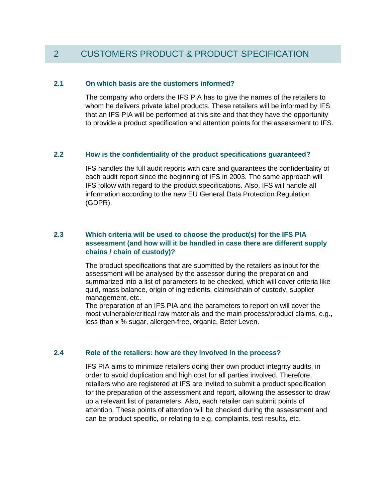# 2 CUSTOMERS PRODUCT & PRODUCT SPECIFICATION

### **2.1 On which basis are the customers informed?**

The company who orders the IFS PIA has to give the names of the retailers to whom he delivers private label products. These retailers will be informed by IFS that an IFS PIA will be performed at this site and that they have the opportunity to provide a product specification and attention points for the assessment to IFS.

#### **2.2 How is the confidentiality of the product specifications guaranteed?**

IFS handles the full audit reports with care and guarantees the confidentiality of each audit report since the beginning of IFS in 2003. The same approach will IFS follow with regard to the product specifications. Also, IFS will handle all information according to the new EU General Data Protection Regulation (GDPR).

## **2.3 Which criteria will be used to choose the product(s) for the IFS PIA assessment (and how will it be handled in case there are different supply chains / chain of custody)?**

The product specifications that are submitted by the retailers as input for the assessment will be analysed by the assessor during the preparation and summarized into a list of parameters to be checked, which will cover criteria like quid, mass balance, origin of ingredients, claims/chain of custody, supplier management, etc.

The preparation of an IFS PIA and the parameters to report on will cover the most vulnerable/critical raw materials and the main process/product claims, e.g., less than x % sugar, allergen-free, organic, Beter Leven.

#### **2.4 Role of the retailers: how are they involved in the process?**

IFS PIA aims to minimize retailers doing their own product integrity audits, in order to avoid duplication and high cost for all parties involved. Therefore, retailers who are registered at IFS are invited to submit a product specification for the preparation of the assessment and report, allowing the assessor to draw up a relevant list of parameters. Also, each retailer can submit points of attention. These points of attention will be checked during the assessment and can be product specific, or relating to e.g. complaints, test results, etc.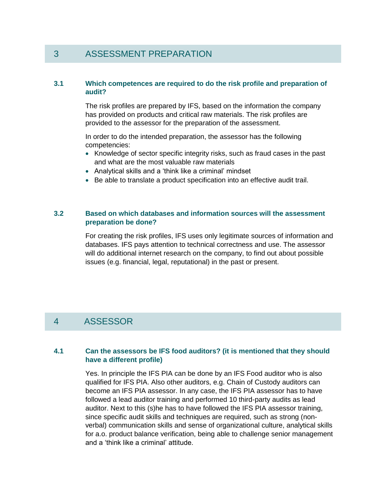## 3 ASSESSMENT PREPARATION

## **3.1 Which competences are required to do the risk profile and preparation of audit?**

The risk profiles are prepared by IFS, based on the information the company has provided on products and critical raw materials. The risk profiles are provided to the assessor for the preparation of the assessment.

In order to do the intended preparation, the assessor has the following competencies:

- Knowledge of sector specific integrity risks, such as fraud cases in the past and what are the most valuable raw materials
- Analytical skills and a 'think like a criminal' mindset
- Be able to translate a product specification into an effective audit trail.

## **3.2 Based on which databases and information sources will the assessment preparation be done?**

For creating the risk profiles, IFS uses only legitimate sources of information and databases. IFS pays attention to technical correctness and use. The assessor will do additional internet research on the company, to find out about possible issues (e.g. financial, legal, reputational) in the past or present.

## 4 ASSESSOR

## **4.1 Can the assessors be IFS food auditors? (it is mentioned that they should have a different profile)**

Yes. In principle the IFS PIA can be done by an IFS Food auditor who is also qualified for IFS PIA. Also other auditors, e.g. Chain of Custody auditors can become an IFS PIA assessor. In any case, the IFS PIA assessor has to have followed a lead auditor training and performed 10 third-party audits as lead auditor. Next to this (s)he has to have followed the IFS PIA assessor training, since specific audit skills and techniques are required, such as strong (nonverbal) communication skills and sense of organizational culture, analytical skills for a.o. product balance verification, being able to challenge senior management and a 'think like a criminal' attitude.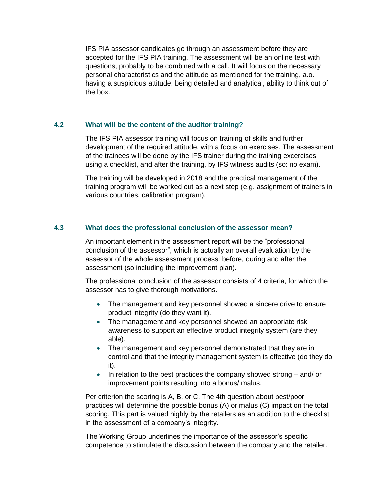IFS PIA assessor candidates go through an assessment before they are accepted for the IFS PIA training. The assessment will be an online test with questions, probably to be combined with a call. It will focus on the necessary personal characteristics and the attitude as mentioned for the training, a.o. having a suspicious attitude, being detailed and analytical, ability to think out of the box.

## **4.2 What will be the content of the auditor training?**

The IFS PIA assessor training will focus on training of skills and further development of the required attitude, with a focus on exercises. The assessment of the trainees will be done by the IFS trainer during the training excercises using a checklist, and after the training, by IFS witness audits (so: no exam).

The training will be developed in 2018 and the practical management of the training program will be worked out as a next step (e.g. assignment of trainers in various countries, calibration program).

## **4.3 What does the professional conclusion of the assessor mean?**

An important element in the assessment report will be the "professional conclusion of the assessor", which is actually an overall evaluation by the assessor of the whole assessment process: before, during and after the assessment (so including the improvement plan).

The professional conclusion of the assessor consists of 4 criteria, for which the assessor has to give thorough motivations.

- The management and key personnel showed a sincere drive to ensure product integrity (do they want it).
- The management and key personnel showed an appropriate risk awareness to support an effective product integrity system (are they able).
- The management and key personnel demonstrated that they are in control and that the integrity management system is effective (do they do it).
- $\bullet$  In relation to the best practices the company showed strong  $-$  and/ or improvement points resulting into a bonus/ malus.

Per criterion the scoring is A, B, or C. The 4th question about best/poor practices will determine the possible bonus (A) or malus (C) impact on the total scoring. This part is valued highly by the retailers as an addition to the checklist in the assessment of a company's integrity.

The Working Group underlines the importance of the assessor's specific competence to stimulate the discussion between the company and the retailer.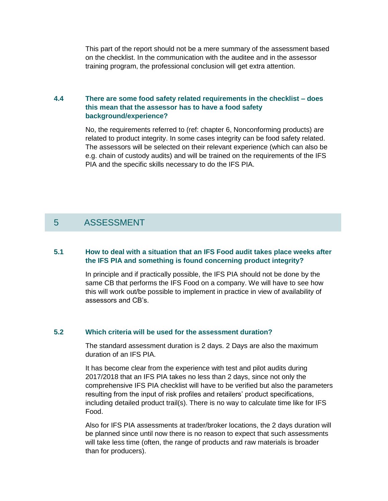This part of the report should not be a mere summary of the assessment based on the checklist. In the communication with the auditee and in the assessor training program, the professional conclusion will get extra attention.

## **4.4 There are some food safety related requirements in the checklist – does this mean that the assessor has to have a food safety background/experience?**

No, the requirements referred to (ref: chapter 6, Nonconforming products) are related to product integrity. In some cases integrity can be food safety related. The assessors will be selected on their relevant experience (which can also be e.g. chain of custody audits) and will be trained on the requirements of the IFS PIA and the specific skills necessary to do the IFS PIA.

# 5 ASSESSMENT

## **5.1 How to deal with a situation that an IFS Food audit takes place weeks after the IFS PIA and something is found concerning product integrity?**

In principle and if practically possible, the IFS PIA should not be done by the same CB that performs the IFS Food on a company. We will have to see how this will work out/be possible to implement in practice in view of availability of assessors and CB's.

## **5.2 Which criteria will be used for the assessment duration?**

The standard assessment duration is 2 days. 2 Days are also the maximum duration of an IFS PIA.

It has become clear from the experience with test and pilot audits during 2017/2018 that an IFS PIA takes no less than 2 days, since not only the comprehensive IFS PIA checklist will have to be verified but also the parameters resulting from the input of risk profiles and retailers' product specifications, including detailed product trail(s). There is no way to calculate time like for IFS Food.

Also for IFS PIA assessments at trader/broker locations, the 2 days duration will be planned since until now there is no reason to expect that such assessments will take less time (often, the range of products and raw materials is broader than for producers).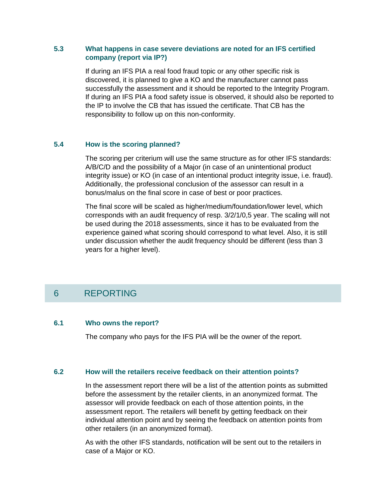## **5.3 What happens in case severe deviations are noted for an IFS certified company (report via IP?)**

If during an IFS PIA a real food fraud topic or any other specific risk is discovered, it is planned to give a KO and the manufacturer cannot pass successfully the assessment and it should be reported to the Integrity Program. If during an IFS PIA a food safety issue is observed, it should also be reported to the IP to involve the CB that has issued the certificate. That CB has the responsibility to follow up on this non-conformity.

## **5.4 How is the scoring planned?**

The scoring per criterium will use the same structure as for other IFS standards: A/B/C/D and the possibility of a Major (in case of an unintentional product integrity issue) or KO (in case of an intentional product integrity issue, i.e. fraud). Additionally, the professional conclusion of the assessor can result in a bonus/malus on the final score in case of best or poor practices.

The final score will be scaled as higher/medium/foundation/lower level, which corresponds with an audit frequency of resp. 3/2/1/0,5 year. The scaling will not be used during the 2018 assessments, since it has to be evaluated from the experience gained what scoring should correspond to what level. Also, it is still under discussion whether the audit frequency should be different (less than 3 years for a higher level).

# 6 REPORTING

## **6.1 Who owns the report?**

The company who pays for the IFS PIA will be the owner of the report.

## **6.2 How will the retailers receive feedback on their attention points?**

In the assessment report there will be a list of the attention points as submitted before the assessment by the retailer clients, in an anonymized format. The assessor will provide feedback on each of those attention points, in the assessment report. The retailers will benefit by getting feedback on their individual attention point and by seeing the feedback on attention points from other retailers (in an anonymized format).

As with the other IFS standards, notification will be sent out to the retailers in case of a Major or KO.